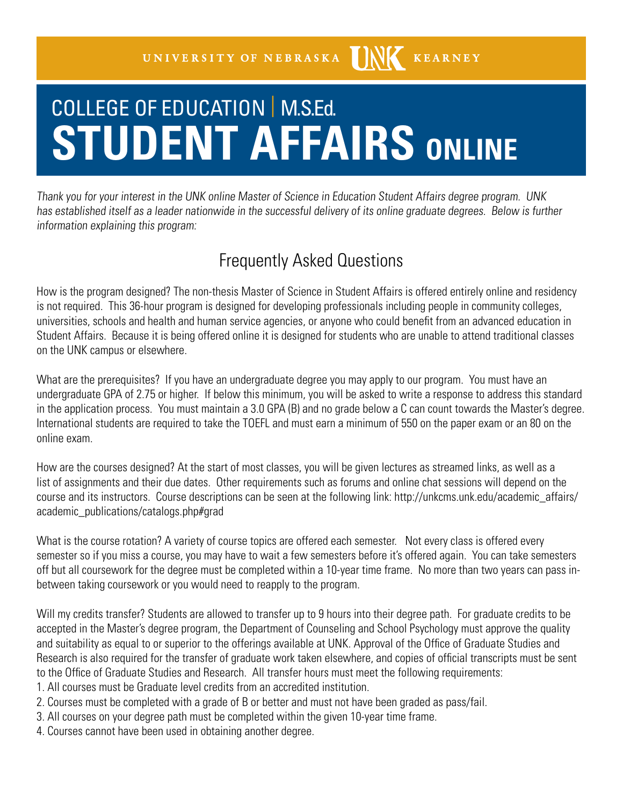## COLLEGE OF EDUCATION | M.S.Ed. **STUDENT AFFAIRS ONLINE**

Thank you for your interest in the UNK online Master of Science in Education Student Affairs degree program. UNK has established itself as a leader nationwide in the successful delivery of its online graduate degrees. Below is further information explaining this program:

## Frequently Asked Questions

How is the program designed? The non-thesis Master of Science in Student Affairs is offered entirely online and residency is not required. This 36-hour program is designed for developing professionals including people in community colleges, universities, schools and health and human service agencies, or anyone who could benefit from an advanced education in Student Affairs. Because it is being offered online it is designed for students who are unable to attend traditional classes on the UNK campus or elsewhere.

What are the prerequisites? If you have an undergraduate degree you may apply to our program. You must have an undergraduate GPA of 2.75 or higher. If below this minimum, you will be asked to write a response to address this standard in the application process. You must maintain a 3.0 GPA (B) and no grade below a C can count towards the Master's degree. International students are required to take the TOEFL and must earn a minimum of 550 on the paper exam or an 80 on the online exam.

How are the courses designed? At the start of most classes, you will be given lectures as streamed links, as well as a list of assignments and their due dates. Other requirements such as forums and online chat sessions will depend on the course and its instructors. Course descriptions can be seen at the following link: http://unkcms.unk.edu/academic\_affairs/ academic\_publications/catalogs.php#grad

What is the course rotation? A variety of course topics are offered each semester. Not every class is offered every semester so if you miss a course, you may have to wait a few semesters before it's offered again. You can take semesters off but all coursework for the degree must be completed within a 10-year time frame. No more than two years can pass inbetween taking coursework or you would need to reapply to the program.

Will my credits transfer? Students are allowed to transfer up to 9 hours into their degree path. For graduate credits to be accepted in the Master's degree program, the Department of Counseling and School Psychology must approve the quality and suitability as equal to or superior to the offerings available at UNK. Approval of the Office of Graduate Studies and Research is also required for the transfer of graduate work taken elsewhere, and copies of official transcripts must be sent to the Office of Graduate Studies and Research. All transfer hours must meet the following requirements:

1. All courses must be Graduate level credits from an accredited institution.

- 2. Courses must be completed with a grade of B or better and must not have been graded as pass/fail.
- 3. All courses on your degree path must be completed within the given 10-year time frame.
- 4. Courses cannot have been used in obtaining another degree.